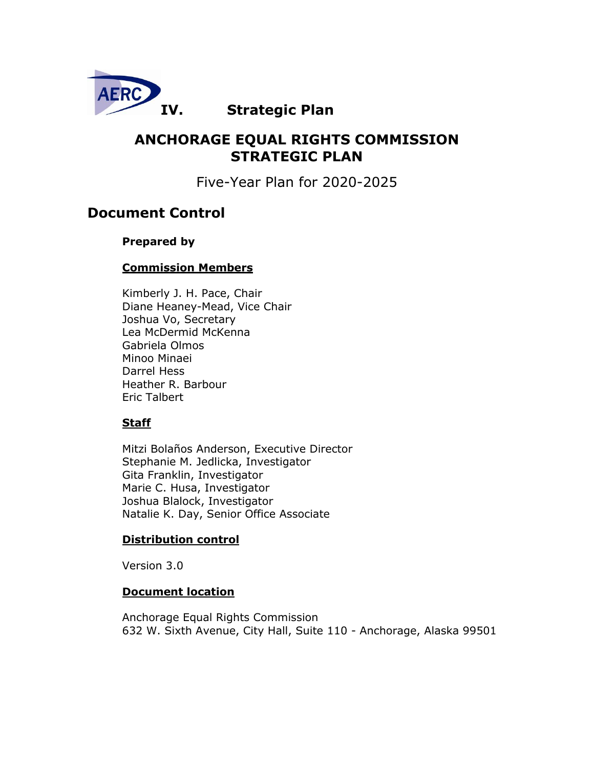

# **IV. Strategic Plan**

# **ANCHORAGE EQUAL RIGHTS COMMISSION STRATEGIC PLAN**

Five-Year Plan for 2020-2025

# **Document Control**

## **Prepared by**

## **Commission Members**

Kimberly J. H. Pace, Chair Diane Heaney-Mead, Vice Chair Joshua Vo, Secretary Lea McDermid McKenna Gabriela Olmos Minoo Minaei Darrel Hess Heather R. Barbour Eric Talbert

## **Staff**

Mitzi Bolaños Anderson, Executive Director Stephanie M. Jedlicka, Investigator Gita Franklin, Investigator Marie C. Husa, Investigator Joshua Blalock, Investigator Natalie K. Day, Senior Office Associate

## **Distribution control**

Version 3.0

## **Document location**

Anchorage Equal Rights Commission 632 W. Sixth Avenue, City Hall, Suite 110 - Anchorage, Alaska 99501